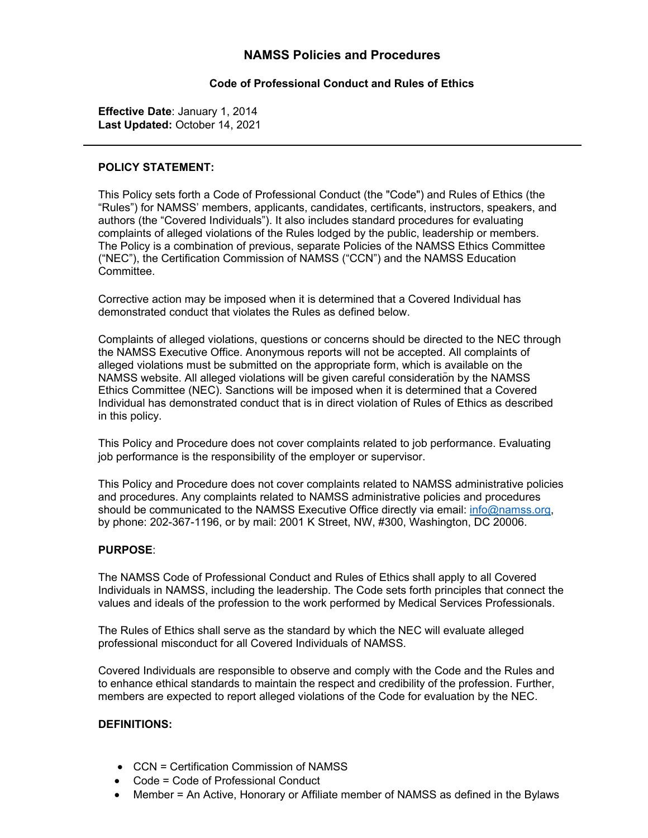# **NAMSS Policies and Procedures**

### **Code of Professional Conduct and Rules of Ethics**

**Effective Date**: January 1, 2014 **Last Updated:** October 14, 2021

#### **POLICY STATEMENT:**

This Policy sets forth a Code of Professional Conduct (the "Code") and Rules of Ethics (the "Rules") for NAMSS' members, applicants, candidates, certificants, instructors, speakers, and authors (the "Covered Individuals"). It also includes standard procedures for evaluating complaints of alleged violations of the Rules lodged by the public, leadership or members. The Policy is a combination of previous, separate Policies of the NAMSS Ethics Committee ("NEC"), the Certification Commission of NAMSS ("CCN") and the NAMSS Education Committee.

Corrective action may be imposed when it is determined that a Covered Individual has demonstrated conduct that violates the Rules as defined below.

Complaints of alleged violations, questions or concerns should be directed to the NEC through the NAMSS Executive Office. Anonymous reports will not be accepted. All complaints of alleged violations must be submitted on the appropriate form, which is available on the NAMSS website. All alleged violations will be given careful consideration by the NAMSS Ethics Committee (NEC). Sanctions will be imposed when it is determined that a Covered Individual has demonstrated conduct that is in direct violation of Rules of Ethics as described in this policy.

This Policy and Procedure does not cover complaints related to job performance. Evaluating job performance is the responsibility of the employer or supervisor.

This Policy and Procedure does not cover complaints related to NAMSS administrative policies and procedures. Any complaints related to NAMSS administrative policies and procedures should be communicated to the NAMSS Executive Office directly via email: info@namss.org, by phone: 202-367-1196, or by mail: 2001 K Street, NW, #300, Washington, DC [20006.](mailto:info@namss.org)

### **PURPOSE**:

The NAMSS Code of Professional Conduct and Rules of Ethics shall apply to all Covered Individuals in NAMSS, including the leadership. The Code sets forth principles that connect the values and ideals of the profession to the work performed by Medical Services Professionals.

The Rules of Ethics shall serve as the standard by which the NEC will evaluate alleged professional misconduct for all Covered Individuals of NAMSS.

Covered Individuals are responsible to observe and comply with the Code and the Rules and to enhance ethical standards to maintain the respect and credibility of the profession. Further, members are expected to report alleged violations of the Code for evaluation by the NEC.

### **DEFINITIONS:**

- CCN = Certification Commission of NAMSS
- Code = Code of Professional Conduct
- Member = An Active, Honorary or Affiliate member of NAMSS as defined in the Bylaws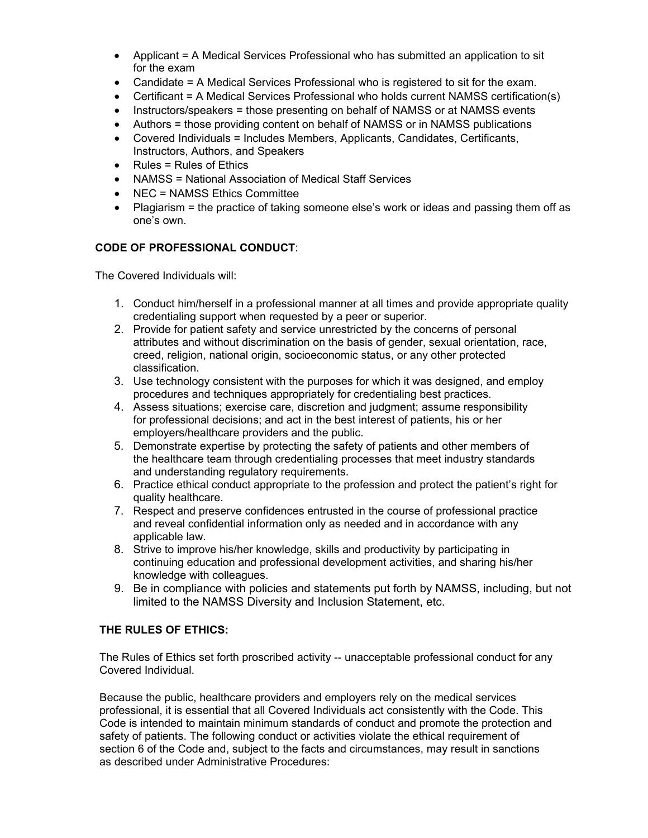- Applicant = A Medical Services Professional who has submitted an application to sit for the exam
- Candidate = A Medical Services Professional who is registered to sit for the exam.
- Certificant = A Medical Services Professional who holds current NAMSS certification(s)
- Instructors/speakers = those presenting on behalf of NAMSS or at NAMSS events
- Authors = those providing content on behalf of NAMSS or in NAMSS publications
- Covered Individuals = Includes Members, Applicants, Candidates, Certificants, Instructors, Authors, and Speakers
- Rules = Rules of Ethics
- NAMSS = National Association of Medical Staff Services
- NEC = NAMSS Ethics Committee
- Plagiarism = the practice of taking someone else's work or ideas and passing them off as one's own.

### **CODE OF PROFESSIONAL CONDUCT**:

The Covered Individuals will:

- 1. Conduct him/herself in a professional manner at all times and provide appropriate quality credentialing support when requested by a peer or superior.
- 2. Provide for patient safety and service unrestricted by the concerns of personal attributes and without discrimination on the basis of gender, sexual orientation, race, creed, religion, national origin, socioeconomic status, or any other protected classification.
- 3. Use technology consistent with the purposes for which it was designed, and employ procedures and techniques appropriately for credentialing best practices.
- 4. Assess situations; exercise care, discretion and judgment; assume responsibility for professional decisions; and act in the best interest of patients, his or her employers/healthcare providers and the public.
- 5. Demonstrate expertise by protecting the safety of patients and other members of the healthcare team through credentialing processes that meet industry standards and understanding regulatory requirements.
- 6. Practice ethical conduct appropriate to the profession and protect the patient's right for quality healthcare.
- 7. Respect and preserve confidences entrusted in the course of professional practice and reveal confidential information only as needed and in accordance with any applicable law.
- 8. Strive to improve his/her knowledge, skills and productivity by participating in continuing education and professional development activities, and sharing his/her knowledge with colleagues.
- 9. Be in compliance with policies and statements put forth by NAMSS, including, but not limited to the NAMSS Diversity and Inclusion Statement, etc.

### **THE RULES OF ETHICS:**

The Rules of Ethics set forth proscribed activity -- unacceptable professional conduct for any Covered Individual.

Because the public, healthcare providers and employers rely on the medical services professional, it is essential that all Covered Individuals act consistently with the Code. This Code is intended to maintain minimum standards of conduct and promote the protection and safety of patients. The following conduct or activities violate the ethical requirement of section 6 of the Code and, subject to the facts and circumstances, may result in sanctions as described under Administrative Procedures: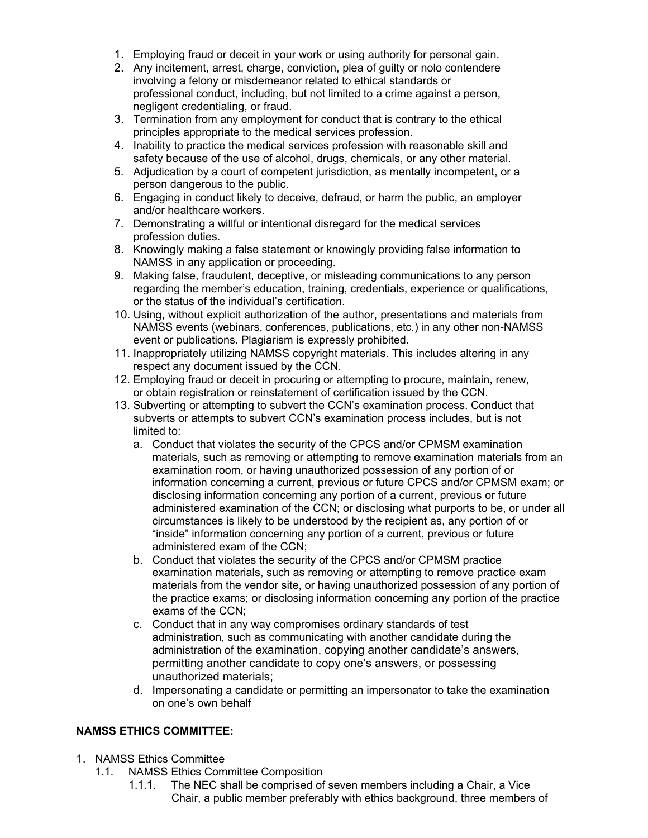- 1. Employing fraud or deceit in your work or using authority for personal gain.
- 2. Any incitement, arrest, charge, conviction, plea of guilty or nolo contendere involving a felony or misdemeanor related to ethical standards or professional conduct, including, but not limited to a crime against a person, negligent credentialing, or fraud.
- 3. Termination from any employment for conduct that is contrary to the ethical principles appropriate to the medical services profession.
- 4. Inability to practice the medical services profession with reasonable skill and safety because of the use of alcohol, drugs, chemicals, or any other material.
- 5. Adjudication by a court of competent jurisdiction, as mentally incompetent, or a person dangerous to the public.
- 6. Engaging in conduct likely to deceive, defraud, or harm the public, an employer and/or healthcare workers.
- 7. Demonstrating a willful or intentional disregard for the medical services profession duties.
- 8. Knowingly making a false statement or knowingly providing false information to NAMSS in any application or proceeding.
- 9. Making false, fraudulent, deceptive, or misleading communications to any person regarding the member's education, training, credentials, experience or qualifications, or the status of the individual's certification.
- 10. Using, without explicit authorization of the author, presentations and materials from NAMSS events (webinars, conferences, publications, etc.) in any other non-NAMSS event or publications. Plagiarism is expressly prohibited.
- 11. Inappropriately utilizing NAMSS copyright materials. This includes altering in any respect any document issued by the CCN.
- 12. Employing fraud or deceit in procuring or attempting to procure, maintain, renew, or obtain registration or reinstatement of certification issued by the CCN.
- 13. Subverting or attempting to subvert the CCN's examination process. Conduct that subverts or attempts to subvert CCN's examination process includes, but is not limited to:
	- a. Conduct that violates the security of the CPCS and/or CPMSM examination materials, such as removing or attempting to remove examination materials from an examination room, or having unauthorized possession of any portion of or information concerning a current, previous or future CPCS and/or CPMSM exam; or disclosing information concerning any portion of a current, previous or future administered examination of the CCN; or disclosing what purports to be, or under all circumstances is likely to be understood by the recipient as, any portion of or "inside" information concerning any portion of a current, previous or future administered exam of the CCN;
	- b. Conduct that violates the security of the CPCS and/or CPMSM practice examination materials, such as removing or attempting to remove practice exam materials from the vendor site, or having unauthorized possession of any portion of the practice exams; or disclosing information concerning any portion of the practice exams of the CCN;
	- c. Conduct that in any way compromises ordinary standards of test administration, such as communicating with another candidate during the administration of the examination, copying another candidate's answers, permitting another candidate to copy one's answers, or possessing unauthorized materials;
	- d. Impersonating a candidate or permitting an impersonator to take the examination on one's own behalf

## **NAMSS ETHICS COMMITTEE:**

- 1. NAMSS Ethics Committee
	- 1.1. NAMSS Ethics Committee Composition
		- 1.1.1. The NEC shall be comprised of seven members including a Chair, a Vice Chair, a public member preferably with ethics background, three members of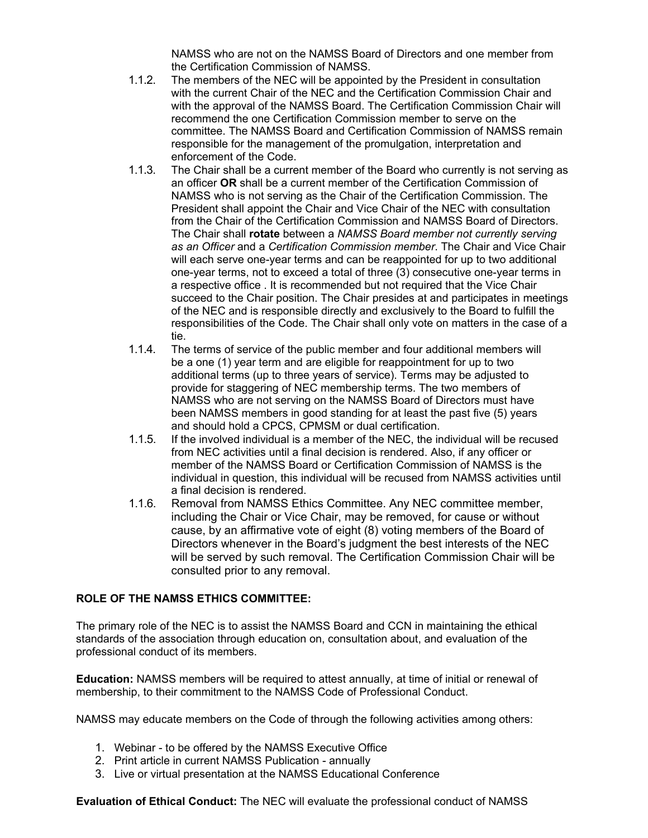NAMSS who are not on the NAMSS Board of Directors and one member from the Certification Commission of NAMSS.

- 1.1.2. The members of the NEC will be appointed by the President in consultation with the current Chair of the NEC and the Certification Commission Chair and with the approval of the NAMSS Board. The Certification Commission Chair will recommend the one Certification Commission member to serve on the committee. The NAMSS Board and Certification Commission of NAMSS remain responsible for the management of the promulgation, interpretation and enforcement of the Code.
- 1.1.3. The Chair shall be a current member of the Board who currently is not serving as an officer **OR** shall be a current member of the Certification Commission of NAMSS who is not serving as the Chair of the Certification Commission. The President shall appoint the Chair and Vice Chair of the NEC with consultation from the Chair of the Certification Commission and NAMSS Board of Directors. The Chair shall **rotate** between a *NAMSS Board member not currently serving as an Officer* and a *Certification Commission member*. The Chair and Vice Chair will each serve one-year terms and can be reappointed for up to two additional one-year terms, not to exceed a total of three (3) consecutive one-year terms in a respective office . It is recommended but not required that the Vice Chair succeed to the Chair position. The Chair presides at and participates in meetings of the NEC and is responsible directly and exclusively to the Board to fulfill the responsibilities of the Code. The Chair shall only vote on matters in the case of a tie.
- 1.1.4. The terms of service of the public member and four additional members will be a one (1) year term and are eligible for reappointment for up to two additional terms (up to three years of service). Terms may be adjusted to provide for staggering of NEC membership terms. The two members of NAMSS who are not serving on the NAMSS Board of Directors must have been NAMSS members in good standing for at least the past five (5) years and should hold a CPCS, CPMSM or dual certification.
- 1.1.5. If the involved individual is a member of the NEC, the individual will be recused from NEC activities until a final decision is rendered. Also, if any officer or member of the NAMSS Board or Certification Commission of NAMSS is the individual in question, this individual will be recused from NAMSS activities until a final decision is rendered.
- 1.1.6. Removal from NAMSS Ethics Committee. Any NEC committee member, including the Chair or Vice Chair, may be removed, for cause or without cause, by an affirmative vote of eight (8) voting members of the Board of Directors whenever in the Board's judgment the best interests of the NEC will be served by such removal. The Certification Commission Chair will be consulted prior to any removal.

### **ROLE OF THE NAMSS ETHICS COMMITTEE:**

The primary role of the NEC is to assist the NAMSS Board and CCN in maintaining the ethical standards of the association through education on, consultation about, and evaluation of the professional conduct of its members.

**Education:** NAMSS members will be required to attest annually, at time of initial or renewal of membership, to their commitment to the NAMSS Code of Professional Conduct.

NAMSS may educate members on the Code of through the following activities among others:

- 1. Webinar to be offered by the NAMSS Executive Office
- 2. Print article in current NAMSS Publication annually
- 3. Live or virtual presentation at the NAMSS Educational Conference

**Evaluation of Ethical Conduct:** The NEC will evaluate the professional conduct of NAMSS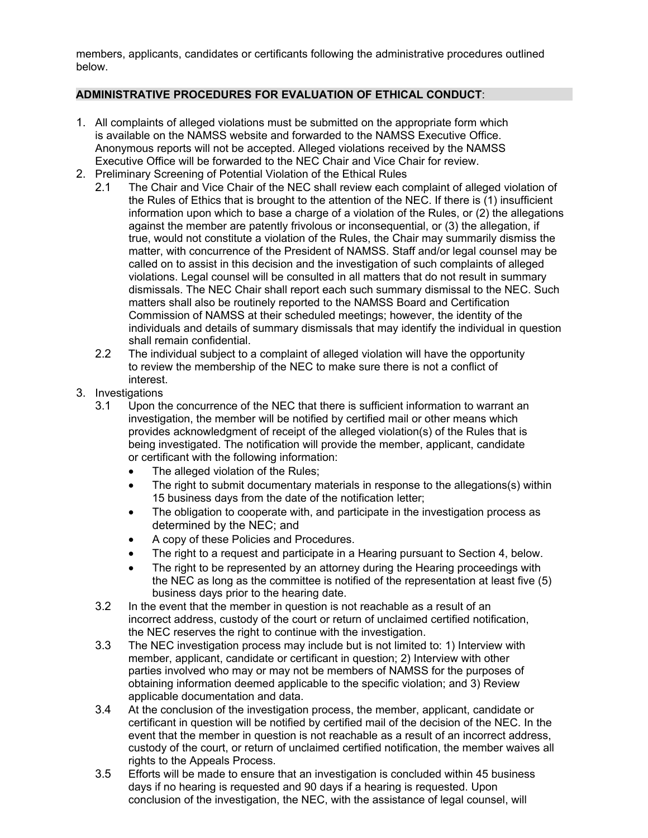members, applicants, candidates or certificants following the administrative procedures outlined below.

### **ADMINISTRATIVE PROCEDURES FOR EVALUATION OF ETHICAL CONDUCT**:

- 1. All complaints of alleged violations must be submitted on the appropriate form which is available on the NAMSS website and forwarded to the NAMSS Executive Office. Anonymous reports will not be accepted. Alleged violations received by the NAMSS Executive Office will be forwarded to the NEC Chair and Vice Chair for review.
- 2. Preliminary Screening of Potential Violation of the Ethical Rules
	- 2.1 The Chair and Vice Chair of the NEC shall review each complaint of alleged violation of the Rules of Ethics that is brought to the attention of the NEC. If there is (1) insufficient information upon which to base a charge of a violation of the Rules, or (2) the allegations against the member are patently frivolous or inconsequential, or (3) the allegation, if true, would not constitute a violation of the Rules, the Chair may summarily dismiss the matter, with concurrence of the President of NAMSS. Staff and/or legal counsel may be called on to assist in this decision and the investigation of such complaints of alleged violations. Legal counsel will be consulted in all matters that do not result in summary dismissals. The NEC Chair shall report each such summary dismissal to the NEC. Such matters shall also be routinely reported to the NAMSS Board and Certification Commission of NAMSS at their scheduled meetings; however, the identity of the individuals and details of summary dismissals that may identify the individual in question shall remain confidential.
	- 2.2 The individual subject to a complaint of alleged violation will have the opportunity to review the membership of the NEC to make sure there is not a conflict of interest.
- 3. Investigations
	- 3.1 Upon the concurrence of the NEC that there is sufficient information to warrant an investigation, the member will be notified by certified mail or other means which provides acknowledgment of receipt of the alleged violation(s) of the Rules that is being investigated. The notification will provide the member, applicant, candidate or certificant with the following information:
		- The alleged violation of the Rules;
		- The right to submit documentary materials in response to the allegations(s) within 15 business days from the date of the notification letter;
		- The obligation to cooperate with, and participate in the investigation process as determined by the NEC; and
		- A copy of these Policies and Procedures.
		- The right to a request and participate in a Hearing pursuant to Section 4, below.
		- The right to be represented by an attorney during the Hearing proceedings with the NEC as long as the committee is notified of the representation at least five (5) business days prior to the hearing date.
	- 3.2 In the event that the member in question is not reachable as a result of an incorrect address, custody of the court or return of unclaimed certified notification, the NEC reserves the right to continue with the investigation.
	- 3.3 The NEC investigation process may include but is not limited to: 1) Interview with member, applicant, candidate or certificant in question; 2) Interview with other parties involved who may or may not be members of NAMSS for the purposes of obtaining information deemed applicable to the specific violation; and 3) Review applicable documentation and data.
	- 3.4 At the conclusion of the investigation process, the member, applicant, candidate or certificant in question will be notified by certified mail of the decision of the NEC. In the event that the member in question is not reachable as a result of an incorrect address, custody of the court, or return of unclaimed certified notification, the member waives all rights to the Appeals Process.
	- 3.5 Efforts will be made to ensure that an investigation is concluded within 45 business days if no hearing is requested and 90 days if a hearing is requested. Upon conclusion of the investigation, the NEC, with the assistance of legal counsel, will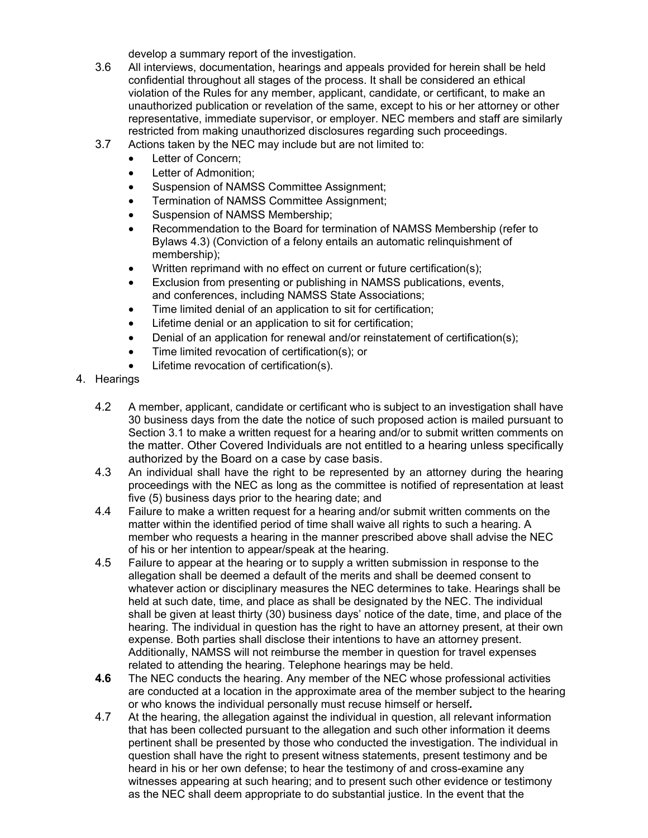develop a summary report of the investigation.

- 3.6 All interviews, documentation, hearings and appeals provided for herein shall be held confidential throughout all stages of the process. It shall be considered an ethical violation of the Rules for any member, applicant, candidate, or certificant, to make an unauthorized publication or revelation of the same, except to his or her attorney or other representative, immediate supervisor, or employer. NEC members and staff are similarly restricted from making unauthorized disclosures regarding such proceedings.
- 3.7 Actions taken by the NEC may include but are not limited to:
	- Letter of Concern;
	- Letter of Admonition;
	- Suspension of NAMSS Committee Assignment;
	- Termination of NAMSS Committee Assignment;
	- Suspension of NAMSS Membership;
	- Recommendation to the Board for termination of NAMSS Membership (refer to Bylaws 4.3) (Conviction of a felony entails an automatic relinquishment of membership);
	- Written reprimand with no effect on current or future certification(s);
	- Exclusion from presenting or publishing in NAMSS publications, events, and conferences, including NAMSS State Associations;
	- Time limited denial of an application to sit for certification;
	- Lifetime denial or an application to sit for certification;
	- Denial of an application for renewal and/or reinstatement of certification(s);
	- Time limited revocation of certification(s); or
	- Lifetime revocation of certification(s).
- 4. Hearings
	- 4.2 A member, applicant, candidate or certificant who is subject to an investigation shall have 30 business days from the date the notice of such proposed action is mailed pursuant to Section 3.1 to make a written request for a hearing and/or to submit written comments on the matter. Other Covered Individuals are not entitled to a hearing unless specifically authorized by the Board on a case by case basis.
	- 4.3 An individual shall have the right to be represented by an attorney during the hearing proceedings with the NEC as long as the committee is notified of representation at least five (5) business days prior to the hearing date; and
	- 4.4 Failure to make a written request for a hearing and/or submit written comments on the matter within the identified period of time shall waive all rights to such a hearing. A member who requests a hearing in the manner prescribed above shall advise the NEC of his or her intention to appear/speak at the hearing.
	- 4.5 Failure to appear at the hearing or to supply a written submission in response to the allegation shall be deemed a default of the merits and shall be deemed consent to whatever action or disciplinary measures the NEC determines to take. Hearings shall be held at such date, time, and place as shall be designated by the NEC. The individual shall be given at least thirty (30) business days' notice of the date, time, and place of the hearing. The individual in question has the right to have an attorney present, at their own expense. Both parties shall disclose their intentions to have an attorney present. Additionally, NAMSS will not reimburse the member in question for travel expenses related to attending the hearing. Telephone hearings may be held.
	- **4.6** The NEC conducts the hearing. Any member of the NEC whose professional activities are conducted at a location in the approximate area of the member subject to the hearing or who knows the individual personally must recuse himself or herself**.**
	- 4.7 At the hearing, the allegation against the individual in question, all relevant information that has been collected pursuant to the allegation and such other information it deems pertinent shall be presented by those who conducted the investigation. The individual in question shall have the right to present witness statements, present testimony and be heard in his or her own defense; to hear the testimony of and cross-examine any witnesses appearing at such hearing; and to present such other evidence or testimony as the NEC shall deem appropriate to do substantial justice. In the event that the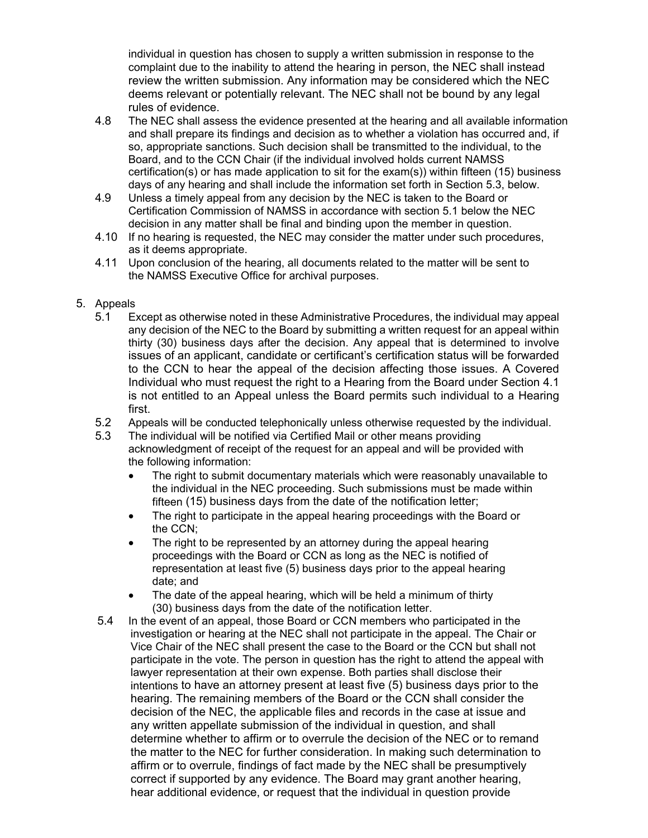individual in question has chosen to supply a written submission in response to the complaint due to the inability to attend the hearing in person, the NEC shall instead review the written submission. Any information may be considered which the NEC deems relevant or potentially relevant. The NEC shall not be bound by any legal rules of evidence.

- 4.8 The NEC shall assess the evidence presented at the hearing and all available information and shall prepare its findings and decision as to whether a violation has occurred and, if so, appropriate sanctions. Such decision shall be transmitted to the individual, to the Board, and to the CCN Chair (if the individual involved holds current NAMSS certification(s) or has made application to sit for the exam(s)) within fifteen (15) business days of any hearing and shall include the information set forth in Section 5.3, below.
- 4.9 Unless a timely appeal from any decision by the NEC is taken to the Board or Certification Commission of NAMSS in accordance with section 5.1 below the NEC decision in any matter shall be final and binding upon the member in question.
- 4.10 If no hearing is requested, the NEC may consider the matter under such procedures, as it deems appropriate.
- 4.11 Upon conclusion of the hearing, all documents related to the matter will be sent to the NAMSS Executive Office for archival purposes.

## 5. Appeals

- 5.1 Except as otherwise noted in these Administrative Procedures, the individual may appeal any decision of the NEC to the Board by submitting a written request for an appeal within thirty (30) business days after the decision. Any appeal that is determined to involve issues of an applicant, candidate or certificant's certification status will be forwarded to the CCN to hear the appeal of the decision affecting those issues. A Covered Individual who must request the right to a Hearing from the Board under Section 4.1 is not entitled to an Appeal unless the Board permits such individual to a Hearing first.
- 5.2 Appeals will be conducted telephonically unless otherwise requested by the individual.<br>5.3 The individual will be notified via Certified Mail or other means providing
- The individual will be notified via Certified Mail or other means providing acknowledgment of receipt of the request for an appeal and will be provided with the following information:
	- The right to submit documentary materials which were reasonably unavailable to the individual in the NEC proceeding. Such submissions must be made within fifteen (15) business days from the date of the notification letter;
	- The right to participate in the appeal hearing proceedings with the Board or the CCN;
	- The right to be represented by an attorney during the appeal hearing proceedings with the Board or CCN as long as the NEC is notified of representation at least five (5) business days prior to the appeal hearing date; and
	- The date of the appeal hearing, which will be held a minimum of thirty (30) business days from the date of the notification letter.
- 5.4 In the event of an appeal, those Board or CCN members who participated in the investigation or hearing at the NEC shall not participate in the appeal. The Chair or Vice Chair of the NEC shall present the case to the Board or the CCN but shall not participate in the vote. The person in question has the right to attend the appeal with lawyer representation at their own expense. Both parties shall disclose their intentions to have an attorney present at least five (5) business days prior to the hearing. The remaining members of the Board or the CCN shall consider the decision of the NEC, the applicable files and records in the case at issue and any written appellate submission of the individual in question, and shall determine whether to affirm or to overrule the decision of the NEC or to remand the matter to the NEC for further consideration. In making such determination to affirm or to overrule, findings of fact made by the NEC shall be presumptively correct if supported by any evidence. The Board may grant another hearing, hear additional evidence, or request that the individual in question provide